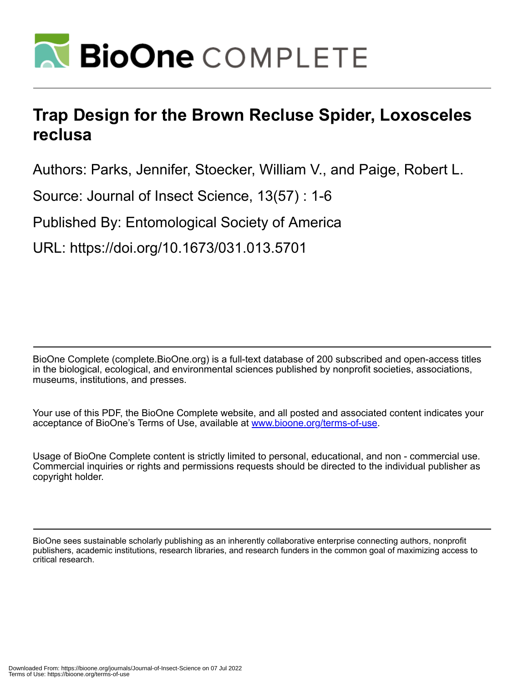

# **Trap Design for the Brown Recluse Spider, Loxosceles reclusa**

Authors: Parks, Jennifer, Stoecker, William V., and Paige, Robert L.

Source: Journal of Insect Science, 13(57) : 1-6

Published By: Entomological Society of America

URL: https://doi.org/10.1673/031.013.5701

BioOne Complete (complete.BioOne.org) is a full-text database of 200 subscribed and open-access titles in the biological, ecological, and environmental sciences published by nonprofit societies, associations, museums, institutions, and presses.

Your use of this PDF, the BioOne Complete website, and all posted and associated content indicates your acceptance of BioOne's Terms of Use, available at www.bioone.org/terms-of-use.

Usage of BioOne Complete content is strictly limited to personal, educational, and non - commercial use. Commercial inquiries or rights and permissions requests should be directed to the individual publisher as copyright holder.

BioOne sees sustainable scholarly publishing as an inherently collaborative enterprise connecting authors, nonprofit publishers, academic institutions, research libraries, and research funders in the common goal of maximizing access to critical research.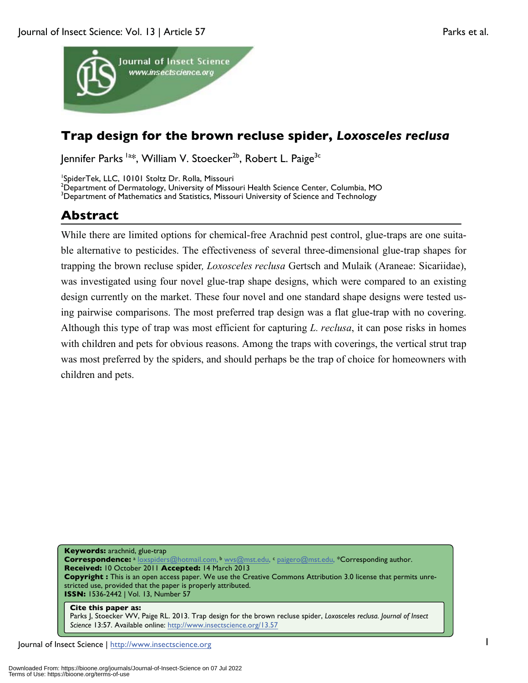

## **Trap design for the brown recluse spider,** *Loxosceles reclusa*

Jennifer Parks <sup>la\*</sup>, William V. Stoecker<sup>2b</sup>, Robert L. Paige<sup>3c</sup>

1 SpiderTek, LLC, 10101 Stoltz Dr. Rolla, Missouri

<sup>2</sup>Department of Dermatology, University of Missouri Health Science Center, Columbia, MO<br><sup>3</sup>Department of Mathematics and Statistics, Missouri University of Science and Technology <sup>3</sup>Department of Mathematics and Statistics, Missouri University of Science and Technology

**Abstract**

While there are limited options for chemical-free Arachnid pest control, glue-traps are one suitable alternative to pesticides. The effectiveness of several three-dimensional glue-trap shapes for trapping the brown recluse spider*, Loxosceles reclusa* Gertsch and Mulaik (Araneae: Sicariidae), was investigated using four novel glue-trap shape designs, which were compared to an existing design currently on the market. These four novel and one standard shape designs were tested using pairwise comparisons. The most preferred trap design was a flat glue-trap with no covering. Although this type of trap was most efficient for capturing *L. reclusa*, it can pose risks in homes with children and pets for obvious reasons. Among the traps with coverings, the vertical strut trap was most preferred by the spiders, and should perhaps be the trap of choice for homeowners with children and pets.

**Keywords:** arachnid, glue-trap Correspondence: a loxspiders@hotmail.com, b wys@mst.edu, c paigero@mst.edu, \*Corresponding author. **Received:** 10 October 2011 **Accepted:** 14 March 2013 **Copyright :** This is an open access paper. We use the Creative Commons Attribution 3.0 license that permits unrestricted use, provided that the paper is properly attributed. **ISSN:** 1536-2442 | Vol. 13, Number 57

#### **Cite this paper as:**  Parks J, Stoecker WV, Paige RL. 2013. Trap design for the brown recluse spider, *Loxosceles reclusa. Journal of Insect Science* 13:57. Available online: http://www.insectscience.org/13.57

Journal of Insect Science | http://www.insectscience.org 1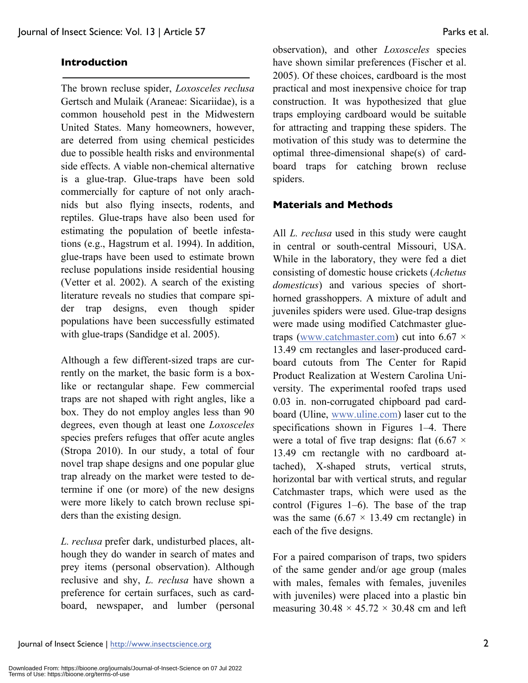#### **Introduction**

The brown recluse spider, *Loxosceles reclusa*  Gertsch and Mulaik (Araneae: Sicariidae), is a common household pest in the Midwestern United States. Many homeowners, however, are deterred from using chemical pesticides due to possible health risks and environmental side effects. A viable non-chemical alternative is a glue-trap. Glue-traps have been sold commercially for capture of not only arachnids but also flying insects, rodents, and reptiles. Glue-traps have also been used for estimating the population of beetle infestations (e.g., Hagstrum et al. 1994). In addition, glue-traps have been used to estimate brown recluse populations inside residential housing (Vetter et al. 2002). A search of the existing literature reveals no studies that compare spider trap designs, even though spider populations have been successfully estimated with glue-traps (Sandidge et al. 2005).

Although a few different-sized traps are currently on the market, the basic form is a boxlike or rectangular shape. Few commercial traps are not shaped with right angles, like a box. They do not employ angles less than 90 degrees, even though at least one *Loxosceles* species prefers refuges that offer acute angles (Stropa 2010). In our study, a total of four novel trap shape designs and one popular glue trap already on the market were tested to determine if one (or more) of the new designs were more likely to catch brown recluse spiders than the existing design.

*L. reclusa* prefer dark, undisturbed places, although they do wander in search of mates and prey items (personal observation). Although reclusive and shy, *L. reclusa* have shown a preference for certain surfaces, such as cardboard, newspaper, and lumber (personal

observation), and other *Loxosceles* species have shown similar preferences (Fischer et al. 2005). Of these choices, cardboard is the most practical and most inexpensive choice for trap construction. It was hypothesized that glue traps employing cardboard would be suitable for attracting and trapping these spiders. The motivation of this study was to determine the optimal three-dimensional shape(s) of cardboard traps for catching brown recluse spiders.

#### **Materials and Methods**

All *L. reclusa* used in this study were caught in central or south-central Missouri, USA. While in the laboratory, they were fed a diet consisting of domestic house crickets (*Achetus domesticus*) and various species of shorthorned grasshoppers. A mixture of adult and juveniles spiders were used. Glue-trap designs were made using modified Catchmaster gluetraps (www.catchmaster.com) cut into  $6.67 \times$ 13.49 cm rectangles and laser-produced cardboard cutouts from The Center for Rapid Product Realization at Western Carolina University. The experimental roofed traps used 0.03 in. non-corrugated chipboard pad cardboard (Uline, www.uline.com) laser cut to the specifications shown in Figures 1–4. There were a total of five trap designs: flat  $(6.67 \times$ 13.49 cm rectangle with no cardboard attached), X-shaped struts, vertical struts, horizontal bar with vertical struts, and regular Catchmaster traps, which were used as the control (Figures 1–6). The base of the trap was the same  $(6.67 \times 13.49 \text{ cm} \text{ rectangle})$  in each of the five designs.

For a paired comparison of traps, two spiders of the same gender and/or age group (males with males, females with females, juveniles with juveniles) were placed into a plastic bin measuring  $30.48 \times 45.72 \times 30.48$  cm and left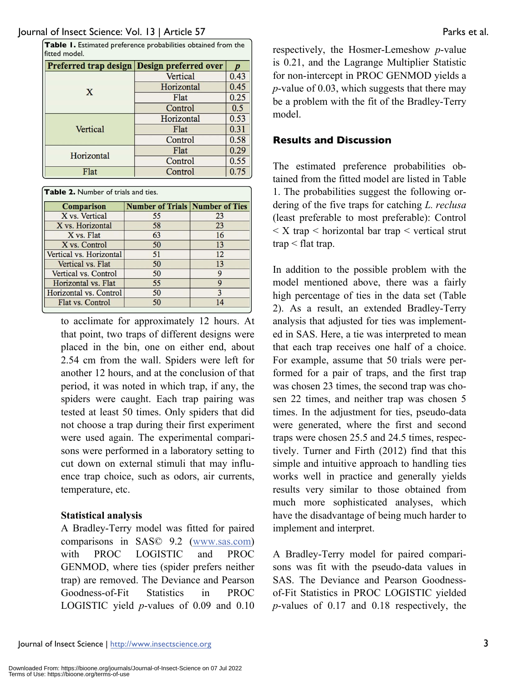| Table I. Estimated preference probabilities obtained from the<br>fitted model. |                                             |      |  |
|--------------------------------------------------------------------------------|---------------------------------------------|------|--|
|                                                                                | Preferred trap design Design preferred over |      |  |
| X                                                                              | Vertical                                    | 0.43 |  |
|                                                                                | Horizontal                                  | 0.45 |  |
|                                                                                | Flat                                        | 0.25 |  |
|                                                                                | Control                                     | 0.5  |  |
| Vertical                                                                       | Horizontal                                  | 0.53 |  |
|                                                                                | Flat                                        | 0.31 |  |
|                                                                                | Control                                     | 0.58 |  |
| Horizontal                                                                     | Flat                                        | 0.29 |  |
|                                                                                | Control                                     | 0.55 |  |
| Flat                                                                           | Control                                     | 0.75 |  |

**Table 2.** Number of trials and ties.

| <b>Comparison</b>       | <b>Number of Trials Number of Ties</b> |    |  |
|-------------------------|----------------------------------------|----|--|
| X vs. Vertical          | 55                                     | 23 |  |
| X vs. Horizontal        | 58                                     | 23 |  |
| X vs. Flat              | 63                                     | 16 |  |
| X vs. Control           | 50                                     | 13 |  |
| Vertical vs. Horizontal | 51                                     | 12 |  |
| Vertical vs. Flat       | 50                                     | 13 |  |
| Vertical vs. Control    | 50                                     | Q  |  |
| Horizontal vs. Flat     | 55                                     | Q  |  |
| Horizontal vs. Control  | 50                                     | 3  |  |
| Flat vs. Control        | 50                                     | 14 |  |

to acclimate for approximately 12 hours. At that point, two traps of different designs were placed in the bin, one on either end, about 2.54 cm from the wall. Spiders were left for another 12 hours, and at the conclusion of that period, it was noted in which trap, if any, the spiders were caught. Each trap pairing was tested at least 50 times. Only spiders that did not choose a trap during their first experiment were used again. The experimental comparisons were performed in a laboratory setting to cut down on external stimuli that may influence trap choice, such as odors, air currents, temperature, etc.

#### **Statistical analysis**

A Bradley-Terry model was fitted for paired comparisons in SAS© 9.2 (www.sas.com) with PROC LOGISTIC and PROC GENMOD, where ties (spider prefers neither trap) are removed. The Deviance and Pearson Goodness-of-Fit Statistics in PROC LOGISTIC yield *p*-values of 0.09 and 0.10 respectively, the Hosmer-Lemeshow *p*-value is 0.21, and the Lagrange Multiplier Statistic for non-intercept in PROC GENMOD yields a *p*-value of 0.03, which suggests that there may be a problem with the fit of the Bradley-Terry model.

#### **Results and Discussion**

The estimated preference probabilities obtained from the fitted model are listed in Table 1. The probabilities suggest the following ordering of the five traps for catching *L. reclusa* (least preferable to most preferable): Control  $\langle X \rangle$  trap  $\langle Y \rangle$  horizontal bar trap  $\langle Y \rangle$  vertical strut trap < flat trap.

In addition to the possible problem with the model mentioned above, there was a fairly high percentage of ties in the data set (Table 2). As a result, an extended Bradley-Terry analysis that adjusted for ties was implemented in SAS. Here, a tie was interpreted to mean that each trap receives one half of a choice. For example, assume that 50 trials were performed for a pair of traps, and the first trap was chosen 23 times, the second trap was chosen 22 times, and neither trap was chosen 5 times. In the adjustment for ties, pseudo-data were generated, where the first and second traps were chosen 25.5 and 24.5 times, respectively. Turner and Firth (2012) find that this simple and intuitive approach to handling ties works well in practice and generally yields results very similar to those obtained from much more sophisticated analyses, which have the disadvantage of being much harder to implement and interpret.

A Bradley-Terry model for paired comparisons was fit with the pseudo-data values in SAS. The Deviance and Pearson Goodnessof-Fit Statistics in PROC LOGISTIC yielded *p*-values of 0.17 and 0.18 respectively, the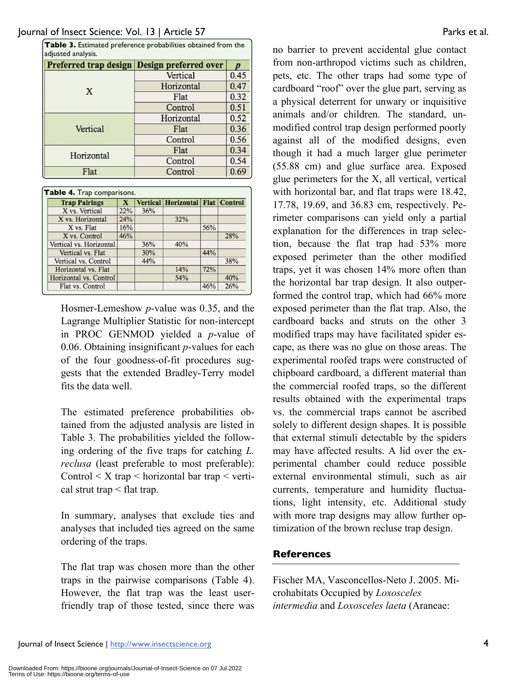| Table 3. Estimated preference probabilities obtained from the<br>adjusted analysis. |                                             |                |  |  |
|-------------------------------------------------------------------------------------|---------------------------------------------|----------------|--|--|
|                                                                                     | Preferred trap design Design preferred over |                |  |  |
| X                                                                                   | Vertical                                    | 0.45           |  |  |
|                                                                                     | Horizontal                                  | 0.47           |  |  |
|                                                                                     | Flat                                        | 0.32           |  |  |
|                                                                                     | Control                                     | 0.51           |  |  |
| Vertical                                                                            | Horizontal                                  | 0.52           |  |  |
|                                                                                     | Flat                                        | 0.36           |  |  |
|                                                                                     | Control                                     | 0.56           |  |  |
| Horizontal                                                                          | Flat                                        | 0.34           |  |  |
|                                                                                     | Control                                     | 0.54           |  |  |
| Flat                                                                                | Control                                     | 6 <sup>0</sup> |  |  |

| <b>Trap Pairings</b>    | X   |     | <b>Vertical Horizontal Flat Control</b> |     |     |
|-------------------------|-----|-----|-----------------------------------------|-----|-----|
| X vs. Vertical          | 22% | 36% |                                         |     |     |
| X vs. Horizontal        | 24% |     | 32%                                     |     |     |
| X vs. Flat              | 16% |     |                                         | 56% |     |
| X vs. Control           | 46% |     |                                         |     | 28% |
| Vertical vs. Horizontal |     | 36% | 40%                                     |     |     |
| Vertical vs. Flat       |     | 30% |                                         | 44% |     |
| Vertical vs. Control    |     | 44% |                                         |     | 38% |
| Horizontal vs. Flat     |     |     | 14%                                     | 72% |     |
| Horizontal vs. Control  |     |     | 54%                                     |     | 40% |
| Flat vs. Control        |     |     |                                         | 46% | 26% |

Hosmer-Lemeshow *p*-value was 0.35, and the Lagrange Multiplier Statistic for non-intercept in PROC GENMOD yielded a *p*-value of 0.06. Obtaining insignificant *p*-values for each of the four goodness-of-fit procedures suggests that the extended Bradley-Terry model fits the data well.

The estimated preference probabilities obtained from the adjusted analysis are listed in Table 3. The probabilities yielded the following ordering of the five traps for catching *L. reclusa* (least preferable to most preferable): Control  $\leq X$  trap  $\leq$  horizontal bar trap  $\leq$  vertical strut trap < flat trap.

In summary, analyses that exclude ties and analyses that included ties agreed on the same ordering of the traps.

The flat trap was chosen more than the other traps in the pairwise comparisons (Table 4). However, the flat trap was the least userfriendly trap of those tested, since there was no barrier to prevent accidental glue contact from non-arthropod victims such as children, pets, etc. The other traps had some type of cardboard "roof" over the glue part, serving as a physical deterrent for unwary or inquisitive animals and/or children. The standard, unmodified control trap design performed poorly against all of the modified designs, even though it had a much larger glue perimeter (55.88 cm) and glue surface area. Exposed glue perimeters for the X, all vertical, vertical with horizontal bar, and flat traps were 18.42, 17.78, 19.69, and 36.83 cm, respectively. Perimeter comparisons can yield only a partial explanation for the differences in trap selection, because the flat trap had 53% more exposed perimeter than the other modified traps, yet it was chosen 14% more often than the horizontal bar trap design. It also outperformed the control trap, which had 66% more exposed perimeter than the flat trap. Also, the cardboard backs and struts on the other 3 modified traps may have facilitated spider escape, as there was no glue on those areas. The experimental roofed traps were constructed of chipboard cardboard, a different material than the commercial roofed traps, so the different results obtained with the experimental traps vs. the commercial traps cannot be ascribed solely to different design shapes. It is possible that external stimuli detectable by the spiders may have affected results. A lid over the experimental chamber could reduce possible external environmental stimuli, such as air currents, temperature and humidity fluctuations, light intensity, etc. Additional study with more trap designs may allow further optimization of the brown recluse trap design.

### **References**

Fischer MA, Vasconcellos-Neto J. 2005. Microhabitats Occupied by *Loxosceles intermedia* and *Loxosceles laeta* (Araneae: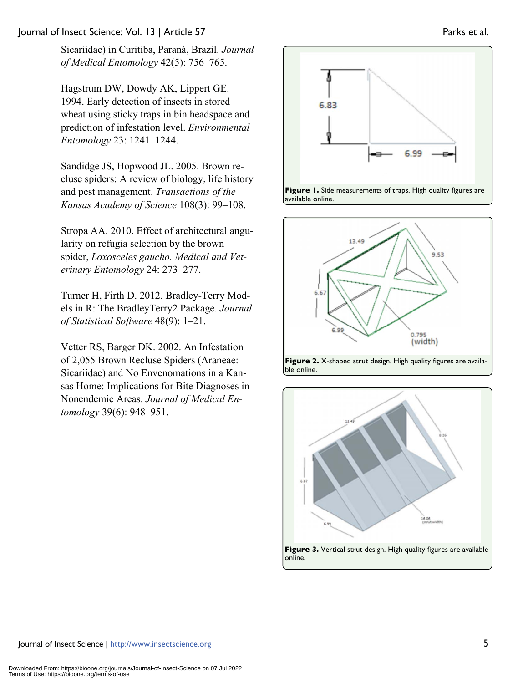#### Journal of Insect Science: Vol. 13 | Article 57 Parks et al.

Sicariidae) in Curitiba, Paraná, Brazil. *Journal of Medical Entomology* 42(5): 756–765.

Hagstrum DW, Dowdy AK, Lippert GE. 1994. Early detection of insects in stored wheat using sticky traps in bin headspace and prediction of infestation level. *Environmental Entomology* 23: 1241–1244.

Sandidge JS, Hopwood JL. 2005. Brown recluse spiders: A review of biology, life history and pest management. *Transactions of the Kansas Academy of Science* 108(3): 99–108.

Stropa AA. 2010. Effect of architectural angularity on refugia selection by the brown spider, *Loxosceles gaucho. Medical and Veterinary Entomology* 24: 273–277.

Turner H, Firth D. 2012. Bradley-Terry Models in R: The BradleyTerry2 Package. *Journal of Statistical Software* 48(9): 1–21.

Vetter RS, Barger DK. 2002. An Infestation of 2,055 Brown Recluse Spiders (Araneae: Sicariidae) and No Envenomations in a Kansas Home: Implications for Bite Diagnoses in Nonendemic Areas. *Journal of Medical Entomology* 39(6): 948–951.